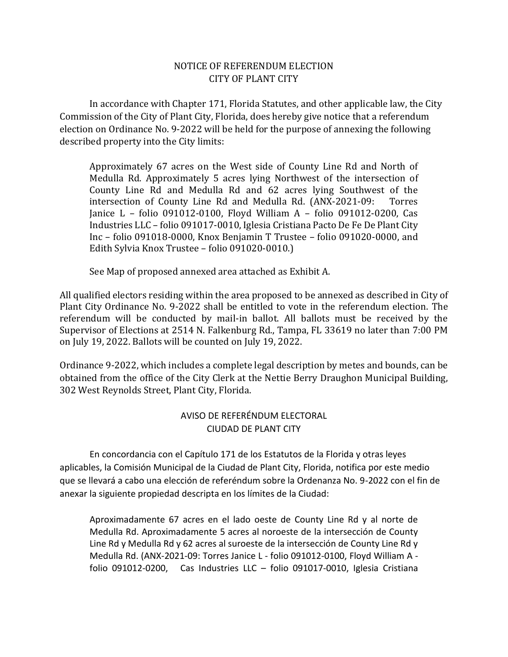## NOTICE OF REFERENDUM ELECTION CITY OF PLANT CITY

In accordance with Chapter 171, Florida Statutes, and other applicable law, the City Commission of the City of Plant City, Florida, does hereby give notice that a referendum election on Ordinance No. 9-2022 will be held for the purpose of annexing the following described property into the City limits:

Approximately 67 acres on the West side of County Line Rd and North of Medulla Rd. Approximately 5 acres lying Northwest of the intersection of County Line Rd and Medulla Rd and 62 acres lying Southwest of the intersection of County Line Rd and Medulla Rd. (ANX-2021-09: Torres Janice L – folio 091012-0100, Floyd William A – folio 091012-0200, Cas Industries LLC – folio 091017-0010, Iglesia Cristiana Pacto De Fe De Plant City Inc – folio 091018-0000, Knox Benjamin T Trustee – folio 091020-0000, and Edith Sylvia Knox Trustee – folio 091020-0010.)

See Map of proposed annexed area attached as Exhibit A.

All qualified electors residing within the area proposed to be annexed as described in City of Plant City Ordinance No. 9-2022 shall be entitled to vote in the referendum election. The referendum will be conducted by mail-in ballot. All ballots must be received by the Supervisor of Elections at 2514 N. Falkenburg Rd., Tampa, FL 33619 no later than 7:00 PM on July 19, 2022. Ballots will be counted on July 19, 2022.

Ordinance 9-2022, which includes a complete legal description by metes and bounds, can be obtained from the office of the City Clerk at the Nettie Berry Draughon Municipal Building, 302 West Reynolds Street, Plant City, Florida.

## AVISO DE REFERÉNDUM ELECTORAL CIUDAD DE PLANT CITY

En concordancia con el Capítulo 171 de los Estatutos de la Florida y otras leyes aplicables, la Comisión Municipal de la Ciudad de Plant City, Florida, notifica por este medio que se llevará a cabo una elección de referéndum sobre la Ordenanza No. 9-2022 con el fin de anexar la siguiente propiedad descripta en los límites de la Ciudad:

Aproximadamente 67 acres en el lado oeste de County Line Rd y al norte de Medulla Rd. Aproximadamente 5 acres al noroeste de la intersección de County Line Rd y Medulla Rd y 62 acres al suroeste de la intersección de County Line Rd y Medulla Rd. (ANX-2021-09: Torres Janice L - folio 091012-0100, Floyd William A folio 091012-0200, Cas Industries LLC – folio 091017-0010, Iglesia Cristiana